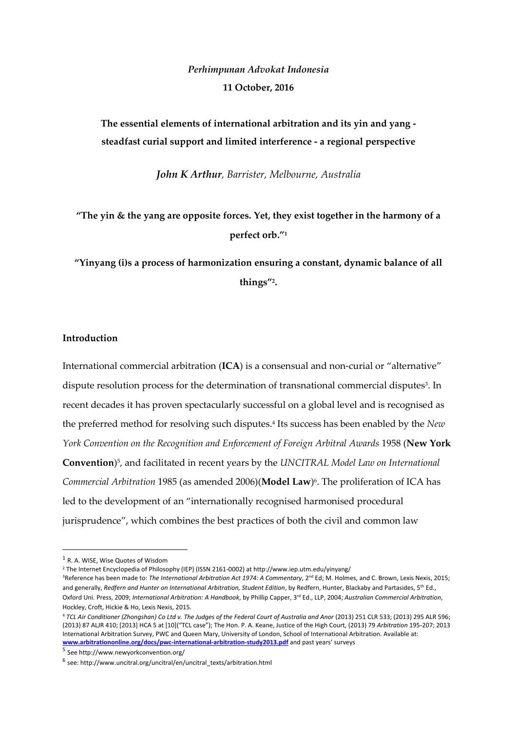## *Perhimpunan Advokat Indonesia* **11 October, 2016**

**The essential elements of international arbitration and its yin and yang steadfast curial support and limited interference - a regional perspective**

*John K Arthur, Barrister, Melbourne, Australia*

**"The yin & the yang are opposite forces. Yet, they exist together in the harmony of a perfect orb." 1**

**"Yinyang (i)s a process of harmonization ensuring a constant, dynamic balance of all things" 2 .**

#### **Introduction**

International commercial arbitration (**ICA**) is a consensual and non-curial or "alternative" dispute resolution process for the determination of transnational commercial disputes<sup>3</sup>. In recent decades it has proven spectacularly successful on a global level and is recognised as the preferred method for resolving such disputes.<sup>4</sup> Its success has been enabled by the *New York Convention on the Recognition and Enforcement of Foreign Arbitral Awards* 1958 (**New York Convention**) 5 , and facilitated in recent years by the *UNCITRAL Model Law on International Commercial Arbitration* 1985 (as amended 2006)(**Model Law**) 6 . The proliferation of ICA has led to the development of an "internationally recognised harmonised procedural jurisprudence", which combines the best practices of both the civil and common law

**.** 

<sup>&</sup>lt;sup>1</sup> R. A. WISE, Wise Quotes of Wisdom

<sup>2</sup> The Internet Encyclopedia of Philosophy (IEP) (ISSN 2161-0002) at http://www.iep.utm.edu/yinyang/

<sup>&</sup>lt;sup>3</sup>Reference has been made to: *The International Arbitration Act 1974: A Commentary*, 2<sup>nd</sup> Ed; M. Holmes, and C. Brown, Lexis Nexis, 2015; and generally, *Redfern and Hunter on International Arbitration, Student Edition*, by Redfern, Hunter, Blackaby and Partasides, 5<sup>th</sup> Ed., Oxford Uni. Press, 2009; *International Arbitration: A Handbook*, by Phillip Capper, 3rd Ed., LLP, 2004; *Australian Commercial Arbitration*, Hockley, Croft, Hickie & Ho, Lexis Nexis, 2015.

<sup>4</sup> *TCL Air Conditioner (Zhongshan) Co Ltd v. The Judges of the Federal Court of Australia and Anor* (2013) 251 CLR 533; (2013) 295 ALR 596; (2013) 87 ALJR 410; [2013] HCA 5 at [10]("TCL case"); The Hon. P. A. Keane, Justice of the High Court, (2013) 79 *Arbitration* 195-207; 2013 International Arbitration Survey, PWC and Queen Mary, University of London, School of International Arbitration. Available at: **[www.arbitrationonline.org/docs/pwc-international-arbitration-study2013.pdf](http://www.arbitrationonline.org/docs/pwc-international-arbitration-study2013.pdf)** and past years' surveys

<sup>5</sup> See http://www.newyorkconvention.org/

<sup>6</sup> see: http://www.uncitral.org/uncitral/en/uncitral\_texts/arbitration.html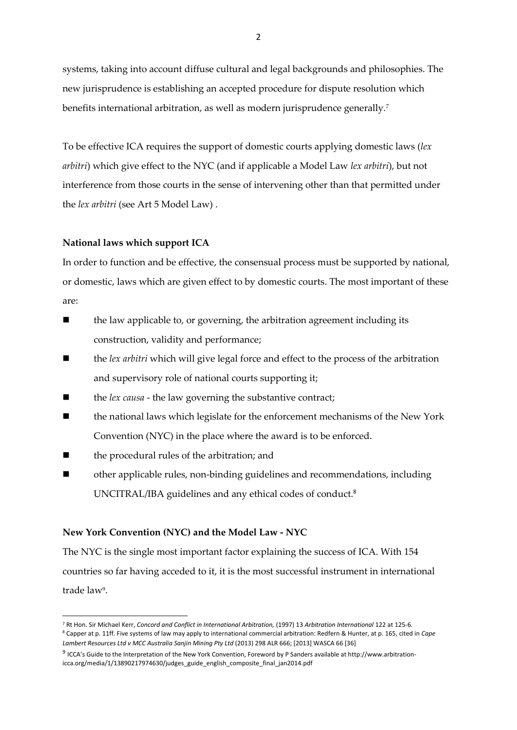systems, taking into account diffuse cultural and legal backgrounds and philosophies. The new jurisprudence is establishing an accepted procedure for dispute resolution which benefits international arbitration, as well as modern jurisprudence generally.<sup>7</sup>

To be effective ICA requires the support of domestic courts applying domestic laws (*lex arbitri*) which give effect to the NYC (and if applicable a Model Law *lex arbitri*), but not interference from those courts in the sense of intervening other than that permitted under the *lex arbitri* (see Art 5 Model Law) .

## **National laws which support ICA**

In order to function and be effective, the consensual process must be supported by national, or domestic, laws which are given effect to by domestic courts. The most important of these are:

- the law applicable to, or governing, the arbitration agreement including its construction, validity and performance;
- the *lex arbitri* which will give legal force and effect to the process of the arbitration and supervisory role of national courts supporting it;
- the *lex causa* the law governing the substantive contract;
- the national laws which legislate for the enforcement mechanisms of the New York Convention (NYC) in the place where the award is to be enforced.
- the procedural rules of the arbitration; and

**.** 

 other applicable rules, non-binding guidelines and recommendations, including UNCITRAL/IBA guidelines and any ethical codes of conduct. 8

## **New York Convention (NYC) and the Model Law - NYC**

The NYC is the single most important factor explaining the success of ICA. With 154 countries so far having acceded to it, it is the most successful instrument in international trade law<sup>9</sup> .

<sup>7</sup> Rt Hon. Sir Michael Kerr, *Concord and Conflict in International Arbitration,* (1997) 13 *Arbitration International* 122 at 125-6. <sup>8</sup> Capper at p. 11ff. Five systems of law may apply to international commercial arbitration: Redfern & Hunter, at p. 165, cited in *Cape Lambert Resources Ltd v MCC Australia Sanjin Mining Pty Ltd* (2013) 298 ALR 666; [2013] WASCA 66 [36]

<sup>9</sup> ICCA's Guide to the Interpretation of the New York Convention, Foreword by P Sanders available at http://www.arbitrationicca.org/media/1/13890217974630/judges\_guide\_english\_composite\_final\_jan2014.pdf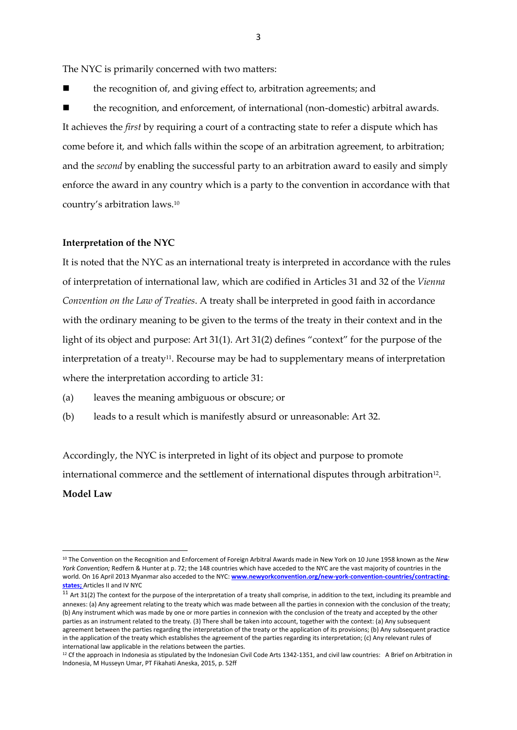The NYC is primarily concerned with two matters:

the recognition of, and giving effect to, arbitration agreements; and

 the recognition, and enforcement, of international (non-domestic) arbitral awards. It achieves the *first* by requiring a court of a contracting state to refer a dispute which has come before it, and which falls within the scope of an arbitration agreement, to arbitration; and the *second* by enabling the successful party to an arbitration award to easily and simply enforce the award in any country which is a party to the convention in accordance with that country's arbitration laws.<sup>10</sup>

#### **Interpretation of the NYC**

1

It is noted that the NYC as an international treaty is interpreted in accordance with the rules of interpretation of international law, which are codified in Articles 31 and 32 of the *Vienna Convention on the Law of Treaties*. A treaty shall be interpreted in good faith in accordance with the ordinary meaning to be given to the terms of the treaty in their context and in the light of its object and purpose: Art 31(1). Art 31(2) defines "context" for the purpose of the interpretation of a treaty<sup>11</sup>. Recourse may be had to supplementary means of interpretation where the interpretation according to article 31:

- (a) leaves the meaning ambiguous or obscure; or
- (b) leads to a result which is manifestly absurd or unreasonable: Art 32.

Accordingly, the NYC is interpreted in light of its object and purpose to promote international commerce and the settlement of international disputes through arbitration $^{\scriptstyle 12}$ . **Model Law**

<sup>10</sup> The Convention on the Recognition and Enforcement of Foreign Arbitral Awards made in New York on 10 June 1958 known as the *New York Convention;* Redfern & Hunter at p. 72; the 148 countries which have acceded to the NYC are the vast majority of countries in the world. On 16 April 2013 Myanmar also acceded to the NYC: **[www.newyorkconvention.org/new-york-convention-countries/contracting](http://www.newyorkconvention.org/new-york-convention-countries/contracting-states)[states;](http://www.newyorkconvention.org/new-york-convention-countries/contracting-states)** Articles II and IV NYC

 $11$  Art 31(2) The context for the purpose of the interpretation of a treaty shall comprise, in addition to the text, including its preamble and annexes: (a) Any agreement relating to the treaty which was made between all the parties in connexion with the conclusion of the treaty; (b) Any instrument which was made by one or more parties in connexion with the conclusion of the treaty and accepted by the other parties as an instrument related to the treaty. (3) There shall be taken into account, together with the context: (a) Any subsequent agreement between the parties regarding the interpretation of the treaty or the application of its provisions; (b) Any subsequent practice in the application of the treaty which establishes the agreement of the parties regarding its interpretation; (c) Any relevant rules of international law applicable in the relations between the parties.

 $12$  Cf the approach in Indonesia as stipulated by the Indonesian Civil Code Arts 1342-1351, and civil law countries: A Brief on Arbitration in Indonesia, M Husseyn Umar, PT Fikahati Aneska, 2015, p. 52ff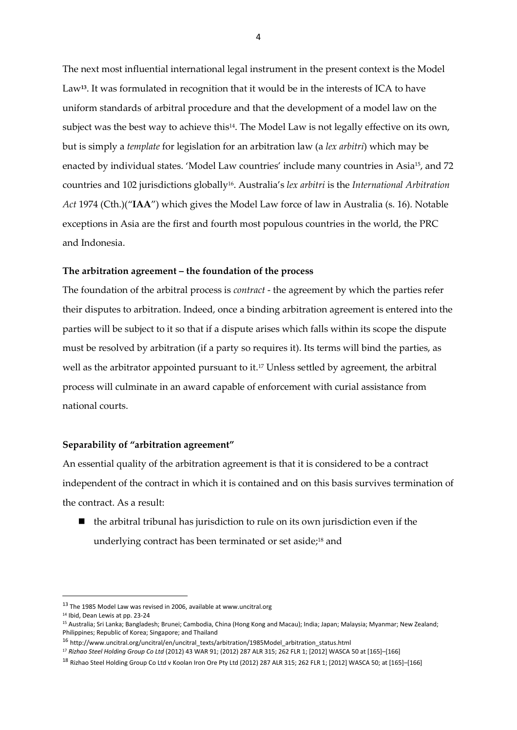The next most influential international legal instrument in the present context is the Model Law**<sup>13</sup>** . It was formulated in recognition that it would be in the interests of ICA to have uniform standards of arbitral procedure and that the development of a model law on the subject was the best way to achieve this<sup>14</sup>. The Model Law is not legally effective on its own, but is simply a *template* for legislation for an arbitration law (a *lex arbitri*) which may be enacted by individual states. 'Model Law countries' include many countries in Asia15, and 72 countries and 102 jurisdictions globally<sup>16</sup> . Australia's *lex arbitri* is the *International Arbitration Act* 1974 (Cth.)("**IAA**") which gives the Model Law force of law in Australia (s. 16). Notable exceptions in Asia are the first and fourth most populous countries in the world, the PRC and Indonesia.

#### **The arbitration agreement – the foundation of the process**

The foundation of the arbitral process is *contract* - the agreement by which the parties refer their disputes to arbitration. Indeed, once a binding arbitration agreement is entered into the parties will be subject to it so that if a dispute arises which falls within its scope the dispute must be resolved by arbitration (if a party so requires it). Its terms will bind the parties, as well as the arbitrator appointed pursuant to it.<sup>17</sup> Unless settled by agreement, the arbitral process will culminate in an award capable of enforcement with curial assistance from national courts.

#### **Separability of "arbitration agreement"**

An essential quality of the arbitration agreement is that it is considered to be a contract independent of the contract in which it is contained and on this basis survives termination of the contract. As a result:

 $\blacksquare$  the arbitral tribunal has jurisdiction to rule on its own jurisdiction even if the underlying contract has been terminated or set aside; <sup>18</sup> and

 $\overline{\phantom{a}}$ 

<sup>13</sup> The 1985 Model Law was revised in 2006, available at www.uncitral.org

<sup>&</sup>lt;sup>14</sup> Ibid, Dean Lewis at pp. 23-24

<sup>15</sup> Australia; Sri Lanka; Bangladesh; Brunei; Cambodia, China (Hong Kong and Macau); India; Japan; Malaysia; Myanmar; New Zealand; Philippines; Republic of Korea; Singapore; and Thailand

<sup>&</sup>lt;sup>16</sup> http://www.uncitral.org/uncitral/en/uncitral\_texts/arbitration/1985Model\_arbitration\_status.html

<sup>17</sup> *Rizhao Steel Holding Group Co Ltd* (2012) 43 WAR 91; (2012) 287 ALR 315; 262 FLR 1; [2012] WASCA 50 at [165]–[166]

<sup>18</sup> Rizhao Steel Holding Group Co Ltd v Koolan Iron Ore Pty Ltd (2012) 287 ALR 315; 262 FLR 1; [2012] WASCA 50; at [165]–[166]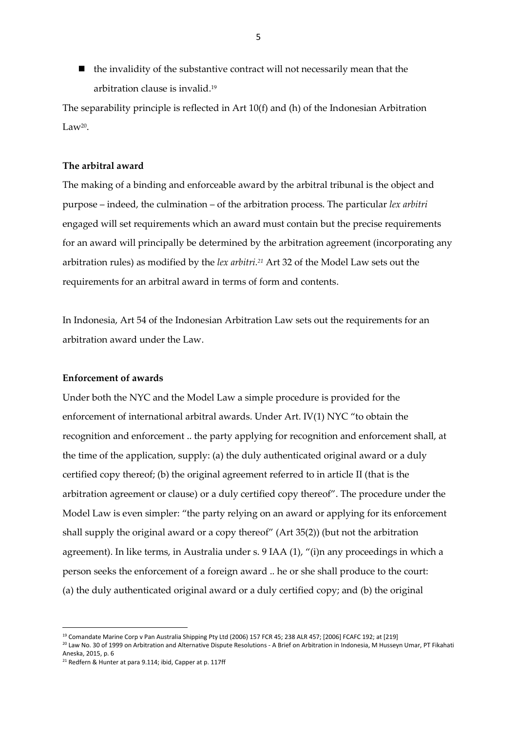$\blacksquare$  the invalidity of the substantive contract will not necessarily mean that the arbitration clause is invalid. 19

The separability principle is reflected in Art 10(f) and (h) of the Indonesian Arbitration Law $^{20}$ .

#### **The arbitral award**

The making of a binding and enforceable award by the arbitral tribunal is the object and purpose – indeed, the culmination – of the arbitration process. The particular *lex arbitri* engaged will set requirements which an award must contain but the precise requirements for an award will principally be determined by the arbitration agreement (incorporating any arbitration rules) as modified by the *lex arbitri.<sup>21</sup>* Art 32 of the Model Law sets out the requirements for an arbitral award in terms of form and contents.

In Indonesia, Art 54 of the Indonesian Arbitration Law sets out the requirements for an arbitration award under the Law.

#### **Enforcement of awards**

Under both the NYC and the Model Law a simple procedure is provided for the enforcement of international arbitral awards. Under Art. IV(1) NYC "to obtain the recognition and enforcement .. the party applying for recognition and enforcement shall, at the time of the application, supply: (a) the duly authenticated original award or a duly certified copy thereof; (b) the original agreement referred to in article II (that is the arbitration agreement or clause) or a duly certified copy thereof". The procedure under the Model Law is even simpler: "the party relying on an award or applying for its enforcement shall supply the original award or a copy thereof" (Art 35(2)) (but not the arbitration agreement). In like terms, in Australia under s. 9 IAA (1), "(i)n any proceedings in which a person seeks the enforcement of a foreign award .. he or she shall produce to the court: (a) the duly authenticated original award or a duly certified copy; and (b) the original

<sup>1</sup> <sup>19</sup> Comandate Marine Corp v Pan Australia Shipping Pty Ltd (2006) 157 FCR 45; 238 ALR 457; [2006] FCAFC 192; at [219]

<sup>&</sup>lt;sup>20</sup> Law No. 30 of 1999 on Arbitration and Alternative Dispute Resolutions - A Brief on Arbitration in Indonesia, M Husseyn Umar, PT Fikahati Aneska, 2015, p. 6

<sup>21</sup> Redfern & Hunter at para 9.114; ibid, Capper at p. 117ff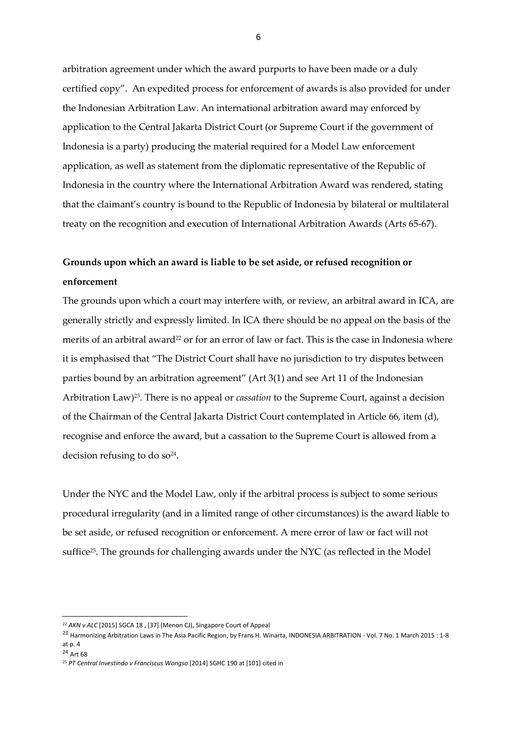arbitration agreement under which the award purports to have been made or a duly certified copy". An expedited process for enforcement of awards is also provided for under the Indonesian Arbitration Law. An international arbitration award may enforced by application to the Central Jakarta District Court (or Supreme Court if the government of Indonesia is a party) producing the material required for a Model Law enforcement application, as well as statement from the diplomatic representative of the Republic of Indonesia in the country where the International Arbitration Award was rendered, stating that the claimant's country is bound to the Republic of Indonesia by bilateral or multilateral treaty on the recognition and execution of International Arbitration Awards (Arts 65-67).

# **Grounds upon which an award is liable to be set aside, or refused recognition or enforcement**

The grounds upon which a court may interfere with, or review, an arbitral award in ICA, are generally strictly and expressly limited. In ICA there should be no appeal on the basis of the merits of an arbitral award<sup>22</sup> or for an error of law or fact. This is the case in Indonesia where it is emphasised that "The District Court shall have no jurisdiction to try disputes between parties bound by an arbitration agreement" (Art 3(1) and see Art 11 of the Indonesian Arbitration Law) <sup>23</sup>. There is no appeal or *cassation* to the Supreme Court, against a decision of the Chairman of the Central Jakarta District Court contemplated in Article 66, item (d), recognise and enforce the award, but a cassation to the Supreme Court is allowed from a decision refusing to do so<sup>24</sup>.

Under the NYC and the Model Law, only if the arbitral process is subject to some serious procedural irregularity (and in a limited range of other circumstances) is the award liable to be set aside, or refused recognition or enforcement. A mere error of law or fact will not suffice<sup>25</sup>. The grounds for challenging awards under the NYC (as reflected in the Model

<sup>24</sup> Art 68

**.** 

<sup>22</sup> *AKN v ALC* [2015] SGCA 18 , [37] (Menon CJ), Singapore Court of Appeal

<sup>&</sup>lt;sup>23</sup> Harmonizing Arbitration Laws in The Asia Pacific Region, by Frans H. Winarta, INDONESIA ARBITRATION - Vol. 7 No. 1 March 2015 : 1-8 at p. 4

<sup>25</sup> *PT Central Investindo v Franciscus Wongso* [2014] SGHC 190 at [101] cited in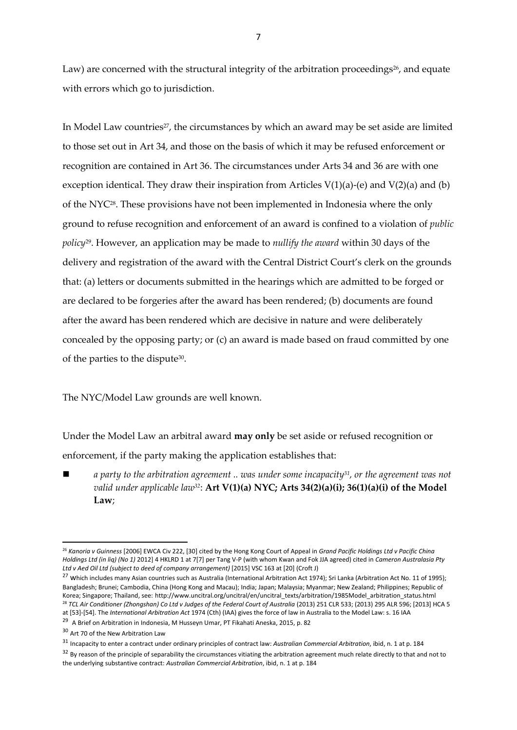Law) are concerned with the structural integrity of the arbitration proceedings<sup>26</sup>, and equate with errors which go to jurisdiction.

In Model Law countries<sup>27</sup>, the circumstances by which an award may be set aside are limited to those set out in Art 34, and those on the basis of which it may be refused enforcement or recognition are contained in Art 36. The circumstances under Arts 34 and 36 are with one exception identical. They draw their inspiration from Articles  $V(1)(a)$ -(e) and  $V(2)(a)$  and (b) of the NYC<sup>28</sup> . These provisions have not been implemented in Indonesia where the only ground to refuse recognition and enforcement of an award is confined to a violation of *public policy*<sup>29</sup> . However, an application may be made to *nullify the award* within 30 days of the delivery and registration of the award with the Central District Court's clerk on the grounds that: (a) letters or documents submitted in the hearings which are admitted to be forged or are declared to be forgeries after the award has been rendered; (b) documents are found after the award has been rendered which are decisive in nature and were deliberately concealed by the opposing party; or (c) an award is made based on fraud committed by one of the parties to the dispute<sup>30</sup>.

The NYC/Model Law grounds are well known.

Under the Model Law an arbitral award **may only** be set aside or refused recognition or enforcement, if the party making the application establishes that:

 *a party to the arbitration agreement .. was under some incapacity31, or the agreement was not valid under applicable law32*: **Art V(1)(a) NYC; Arts 34(2)(a)(i); 36(1)(a)(i) of the Model Law**;

**.** 

<sup>26</sup> *Kanoria v Guinness* [2006] EWCA Civ 222, [30] cited by the Hong Kong Court of Appeal in *Grand Pacific Holdings Ltd v Pacific China Holdings Ltd (in liq) (No 1)* 2012] 4 HKLRD 1 at 7[7] per Tang V-P (with whom Kwan and Fok JJA agreed) cited in *Cameron Australasia Pty Ltd v Aed Oil Ltd (subject to deed of company arrangement)* [2015] VSC 163 at [20] (Croft J)

<sup>&</sup>lt;sup>27</sup> Which includes many Asian countries such as Australia (International Arbitration Act 1974); Sri Lanka (Arbitration Act No. 11 of 1995); Bangladesh; Brunei; Cambodia, China (Hong Kong and Macau); India; Japan; Malaysia; Myanmar; New Zealand; Philippines; Republic of Korea; Singapore; Thailand, see: http://www.uncitral.org/uncitral/en/uncitral\_texts/arbitration/1985Model\_arbitration\_status.html <sup>28</sup> TCL Air Conditioner (Zhongshan) Co Ltd v Judges of the Federal Court of Australia (2013) 251 CLR 533; (2013) 295 ALR 596; [2013] HCA 5

at [53]-[54]. The *International Arbitration Act* 1974 (Cth) (IAA) gives the force of law in Australia to the Model Law: s. 16 IAA

 $29$  A Brief on Arbitration in Indonesia, M Husseyn Umar, PT Fikahati Aneska, 2015, p. 82

<sup>&</sup>lt;sup>30</sup> Art 70 of the New Arbitration Law

<sup>31</sup> Incapacity to enter a contract under ordinary principles of contract law: *Australian Commercial Arbitration*, ibid, n. 1 at p. 184

<sup>&</sup>lt;sup>32</sup> By reason of the principle of separability the circumstances vitiating the arbitration agreement much relate directly to that and not to the underlying substantive contract: *Australian Commercial Arbitration*, ibid, n. 1 at p. 184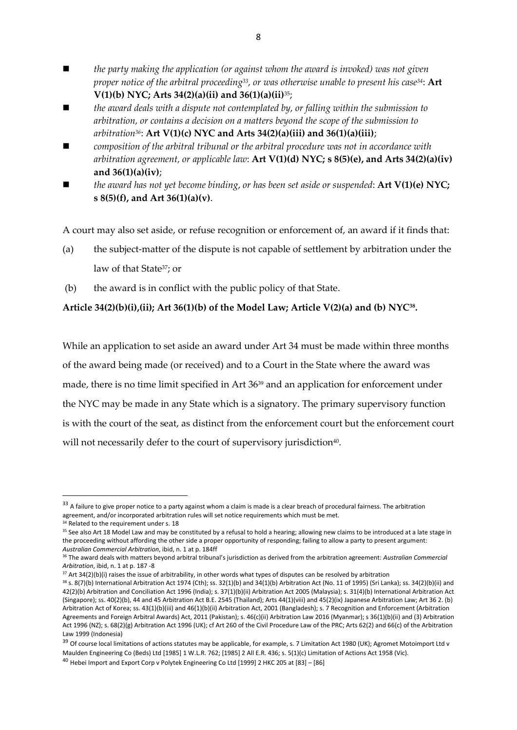- *the party making the application (or against whom the award is invoked) was not given proper notice of the arbitral proceeding<sup>33</sup> , or was otherwise unable to present his case34*: **Art V(1)(b) NYC; Arts 34(2)(a)(ii) and 36(1)(a)(ii)**35;
- *the award deals with a dispute not contemplated by, or falling within the submission to arbitration, or contains a decision on a matters beyond the scope of the submission to arbitration36*: **Art V(1)(c) NYC and Arts 34(2)(a)(iii) and 36(1)(a)(iii)**;
- *composition of the arbitral tribunal or the arbitral procedure was not in accordance with arbitration agreement, or applicable law*: **Art V(1)(d) NYC; s 8(5)(e), and Arts 34(2)(a)(iv) and 36(1)(a)(iv)**;
- *the award has not yet become binding*, *or has been set aside or suspended*: **Art V(1)(e) NYC; s 8(5)(f), and Art 36(1)(a)(v)**.

A court may also set aside, or refuse recognition or enforcement of, an award if it finds that:

- (a) the subject-matter of the dispute is not capable of settlement by arbitration under the law of that State<sup>37</sup>; or
- (b) the award is in conflict with the public policy of that State.

## **Article 34(2)(b)(i),(ii); Art 36(1)(b) of the Model Law; Article V(2)(a) and (b) NYC<sup>38</sup> .**

While an application to set aside an award under Art 34 must be made within three months of the award being made (or received) and to a Court in the State where the award was made, there is no time limit specified in Art 36<sup>39</sup> and an application for enforcement under the NYC may be made in any State which is a signatory. The primary supervisory function is with the court of the seat, as distinct from the enforcement court but the enforcement court will not necessarily defer to the court of supervisory jurisdiction<sup>40</sup>.

<sup>34</sup> Related to the requirement under s. 18

**.** 

<sup>&</sup>lt;sup>33</sup> A failure to give proper notice to a party against whom a claim is made is a clear breach of procedural fairness. The arbitration agreement, and/or incorporated arbitration rules will set notice requirements which must be met.

<sup>&</sup>lt;sup>35</sup> See also Art 18 Model Law and may be constituted by a refusal to hold a hearing; allowing new claims to be introduced at a late stage in the proceeding without affording the other side a proper opportunity of responding; failing to allow a party to present argument: *Australian Commercial Arbitration*, ibid, n. 1 at p. 184ff

<sup>36</sup> The award deals with matters beyond arbitral tribunal's jurisdiction as derived from the arbitration agreement: *Australian Commercial Arbitration*, ibid, n. 1 at p. 187 -8

<sup>&</sup>lt;sup>37</sup> Art 34(2)(b)(i) raises the issue of arbitrability, in other words what types of disputes can be resolved by arbitration

<sup>38</sup> s. 8(7)(b) International Arbitration Act 1974 (Cth); ss. 32(1)(b) and 34(1)(b) Arbitration Act (No. 11 of 1995) (Sri Lanka); ss. 34(2)(b)(ii) and 42(2)(b) Arbitration and Conciliation Act 1996 (India); s. 37(1)(b)(ii) Arbitration Act 2005 (Malaysia); s. 31(4)(b) International Arbitration Act (Singapore); ss. 40(2)(b), 44 and 45 Arbitration Act B.E. 2545 (Thailand); Arts 44(1)(viii) and 45(2)(ix) Japanese Arbitration Law; Art 36 2. (b) Arbitration Act of Korea; ss. 43(1)(b)(iii) and 46(1)(b)(ii) Arbitration Act, 2001 (Bangladesh); s. 7 Recognition and Enforcement (Arbitration Agreements and Foreign Arbitral Awards) Act, 2011 (Pakistan); s. 46(c)(ii) Arbitration Law 2016 (Myanmar); s 36(1)(b)(ii) and (3) Arbitration Act 1996 (NZ); s. 68(2)(g) Arbitration Act 1996 (UK); cf Art 260 of the Civil Procedure Law of the PRC; Arts 62(2) and 66(c) of the Arbitration Law 1999 (Indonesia)

<sup>&</sup>lt;sup>39</sup> Of course local limitations of actions statutes may be applicable, for example, s. 7 Limitation Act 1980 (UK); Agromet Motoimport Ltd v Maulden Engineering Co (Beds) Ltd [1985] 1 W.L.R. 762; [1985] 2 All E.R. 436; s. 5(1)(c) Limitation of Actions Act 1958 (Vic).

<sup>40</sup> Hebei Import and Export Corp v Polytek Engineering Co Ltd [1999] 2 HKC 205 at [83] – [86]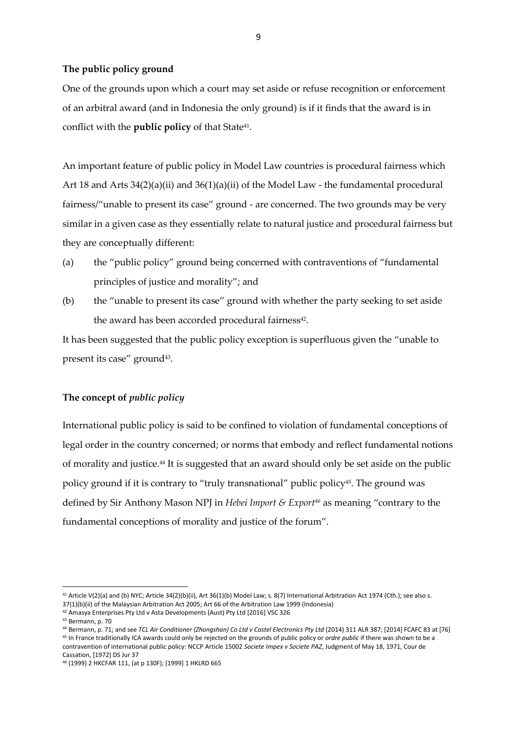#### **The public policy ground**

One of the grounds upon which a court may set aside or refuse recognition or enforcement of an arbitral award (and in Indonesia the only ground) is if it finds that the award is in conflict with the **public policy** of that State<sup>41</sup>.

An important feature of public policy in Model Law countries is procedural fairness which Art 18 and Arts  $34(2)(a)(ii)$  and  $36(1)(a)(ii)$  of the Model Law - the fundamental procedural fairness/"unable to present its case" ground - are concerned. The two grounds may be very similar in a given case as they essentially relate to natural justice and procedural fairness but they are conceptually different:

- (a) the "public policy" ground being concerned with contraventions of "fundamental principles of justice and morality"; and
- (b) the "unable to present its case" ground with whether the party seeking to set aside the award has been accorded procedural fairness<sup>42</sup>.

It has been suggested that the public policy exception is superfluous given the "unable to present its case" ground<sup>43</sup>.

#### **The concept of** *public policy*

International public policy is said to be confined to violation of fundamental conceptions of legal order in the country concerned; or norms that embody and reflect fundamental notions of morality and justice.<sup>44</sup> It is suggested that an award should only be set aside on the public policy ground if it is contrary to "truly transnational" public policy<sup>45</sup>. The ground was defined by Sir Anthony Mason NPJ in *Hebei Import & Export<sup>46</sup>* as meaning "contrary to the fundamental conceptions of morality and justice of the forum".

**.** 

contravention of international public policy: NCCP Article 15002 *Societe Impex v Societe PAZ*, Judgment of May 18, 1971, Cour de Cassation, [1972] DS Jur 37

<sup>&</sup>lt;sup>41</sup> Article V(2)(a) and (b) NYC; Article 34(2)(b)(ii), Art 36(1)(b) Model Law; s. 8(7) International Arbitration Act 1974 (Cth.); see also s. 37(1)(b)(ii) of the Malaysian Arbitration Act 2005; Art 66 of the Arbitration Law 1999 (Indonesia)

<sup>42</sup> Amasya Enterprises Pty Ltd v Asta Developments (Aust) Pty Ltd [2016] VSC 326

<sup>43</sup> Bermann, p. 70

<sup>&</sup>lt;sup>44</sup> Bermann, p. 71; and see TCL Air Conditioner (Zhongshan) Co Ltd v Castel Electronics Pty Ltd (2014) 311 ALR 387; [2014] FCAFC 83 at [76] <sup>45</sup> In France traditionally ICA awards could only be rejected on the grounds of public policy or *ordre public* if there was shown to be a

<sup>46</sup> (1999) 2 HKCFAR 111, (at p 130F); [1999] 1 HKLRD 665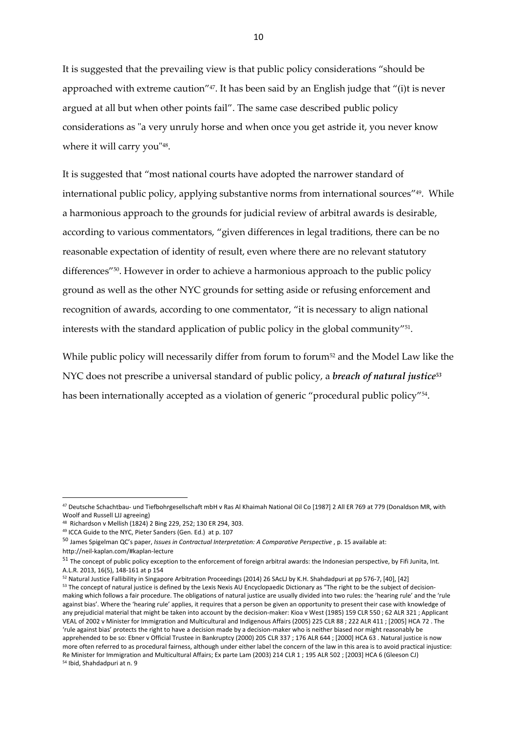It is suggested that the prevailing view is that public policy considerations "should be approached with extreme caution" <sup>47</sup>. It has been said by an English judge that "(i)t is never argued at all but when other points fail". The same case described public policy considerations as "a very unruly horse and when once you get astride it, you never know where it will carry you"<sup>48</sup> .

It is suggested that "most national courts have adopted the narrower standard of international public policy, applying substantive norms from international sources" 49 . While a harmonious approach to the grounds for judicial review of arbitral awards is desirable, according to various commentators, "given differences in legal traditions, there can be no reasonable expectation of identity of result, even where there are no relevant statutory differences" 50 . However in order to achieve a harmonious approach to the public policy ground as well as the other NYC grounds for setting aside or refusing enforcement and recognition of awards, according to one commentator, "it is necessary to align national interests with the standard application of public policy in the global community" 51 .

While public policy will necessarily differ from forum to forum<sup>52</sup> and the Model Law like the NYC does not prescribe a universal standard of public policy, a *breach of natural justice<sup>53</sup>* has been internationally accepted as a violation of generic "procedural public policy"<sup>54</sup> .

<sup>47</sup> Deutsche Schachtbau- und Tiefbohrgesellschaft mbH v Ras Al Khaimah National Oil Co [1987] 2 All ER 769 at 779 (Donaldson MR, with Woolf and Russell LJJ agreeing)

<sup>48</sup> Richardson v Mellish (1824) 2 Bing 229, 252; 130 ER 294, 303.

<sup>49</sup> ICCA Guide to the NYC, Pieter Sanders (Gen. Ed.) at p. 107

<sup>50</sup> James Spigelman QC's paper, *Issues in Contractual Interpretation: A Comparative Perspective* , p. 15 available at: http://neil-kaplan.com/#kaplan-lecture

 $51$  The concept of public policy exception to the enforcement of foreign arbitral awards: the Indonesian perspective, by Fifi Junita, Int. A.L.R. 2013, 16(5), 148-161 at p 154

<sup>52</sup> Natural Justice Fallibility in Singapore Arbitration Proceedings (2014) 26 SAcLJ by K.H. Shahdadpuri at pp 576-7, [40], [42] 53 The concept of natural justice is defined by the Lexis Nexis AU Encyclopaedic Dictionary as "The right to be the subject of decisionmaking which follows a fair procedure. The obligations of natural justice are usually divided into two rules: the 'hearing rule' and the 'rule against bias'. Where the 'hearing rule' applies, it requires that a person be given an opportunity to present their case with knowledge of any prejudicial material that might be taken into account by the decision-maker: Kioa v West (1985) 159 CLR 550 ; 62 ALR 321 ; Applicant VEAL of 2002 v Minister for Immigration and Multicultural and Indigenous Affairs (2005) 225 CLR 88 ; 222 ALR 411 ; [2005] HCA 72 . The 'rule against bias' protects the right to have a decision made by a decision-maker who is neither biased nor might reasonably be apprehended to be so: Ebner v Official Trustee in Bankruptcy (2000) 205 CLR 337 ; 176 ALR 644 ; [2000] HCA 63 . Natural justice is now more often referred to as procedural fairness, although under either label the concern of the law in this area is to avoid practical injustice: Re Minister for Immigration and Multicultural Affairs; Ex parte Lam (2003) 214 CLR 1 ; 195 ALR 502 ; [2003] HCA 6 (Gleeson CJ) <sup>54</sup> Ibid, Shahdadpuri at n. 9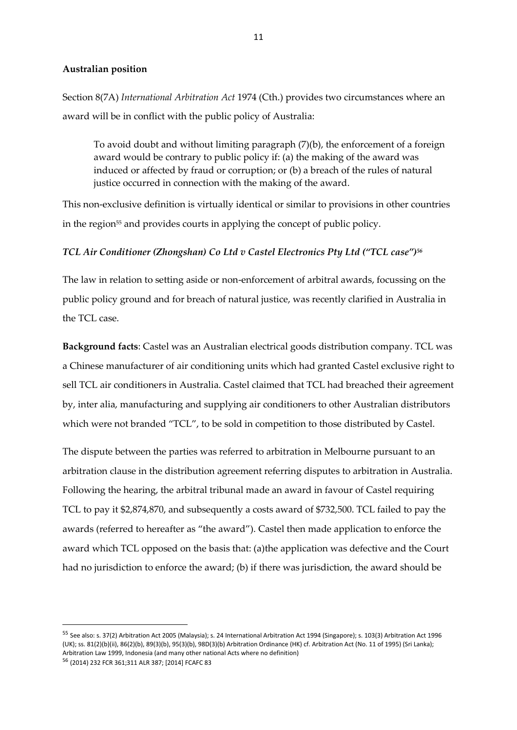#### **Australian position**

Section 8(7A) *International Arbitration Act* 1974 (Cth.) provides two circumstances where an award will be in conflict with the public policy of Australia:

To avoid doubt and without limiting paragraph  $(7)(b)$ , the enforcement of a foreign award would be contrary to public policy if: (a) the making of the award was induced or affected by fraud or corruption; or (b) a breach of the rules of natural justice occurred in connection with the making of the award.

This non-exclusive definition is virtually identical or similar to provisions in other countries in the region<sup>55</sup> and provides courts in applying the concept of public policy.

#### *TCL Air Conditioner (Zhongshan) Co Ltd v Castel Electronics Pty Ltd ("TCL case")<sup>56</sup>*

The law in relation to setting aside or non-enforcement of arbitral awards, focussing on the public policy ground and for breach of natural justice, was recently clarified in Australia in the TCL case.

**Background facts**: Castel was an Australian electrical goods distribution company. TCL was a Chinese manufacturer of air conditioning units which had granted Castel exclusive right to sell TCL air conditioners in Australia. Castel claimed that TCL had breached their agreement by, inter alia, manufacturing and supplying air conditioners to other Australian distributors which were not branded "TCL", to be sold in competition to those distributed by Castel.

The dispute between the parties was referred to arbitration in Melbourne pursuant to an arbitration clause in the distribution agreement referring disputes to arbitration in Australia. Following the hearing, the arbitral tribunal made an award in favour of Castel requiring TCL to pay it \$2,874,870, and subsequently a costs award of \$732,500. TCL failed to pay the awards (referred to hereafter as "the award"). Castel then made application to enforce the award which TCL opposed on the basis that: (a)the application was defective and the Court had no jurisdiction to enforce the award; (b) if there was jurisdiction, the award should be

<sup>55</sup> See also: s. 37(2) Arbitration Act 2005 (Malaysia); s. 24 International Arbitration Act 1994 (Singapore); s. 103(3) Arbitration Act 1996 (UK); ss. 81(2)(b)(ii), 86(2)(b), 89(3)(b), 95(3)(b), 98D(3)(b) Arbitration Ordinance (HK) cf. Arbitration Act (No. 11 of 1995) (Sri Lanka); Arbitration Law 1999, Indonesia (and many other national Acts where no definition)

<sup>56</sup> (2014) 232 FCR 361;311 ALR 387; [2014] FCAFC 83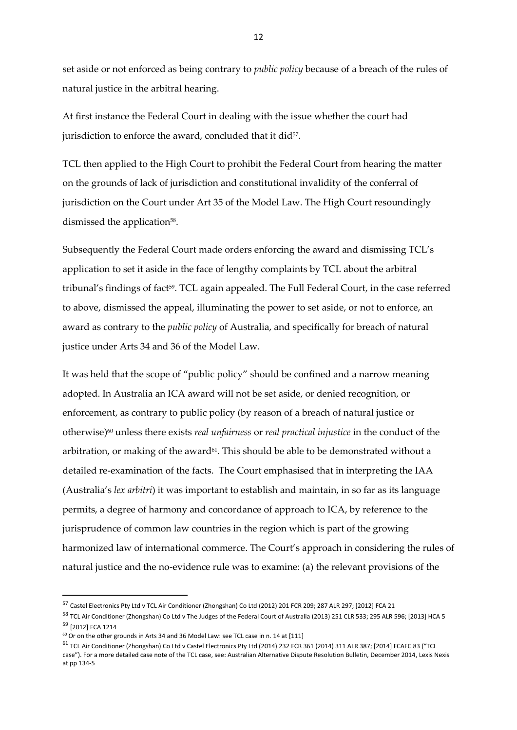set aside or not enforced as being contrary to *public policy* because of a breach of the rules of natural justice in the arbitral hearing.

At first instance the Federal Court in dealing with the issue whether the court had jurisdiction to enforce the award, concluded that it did $57$ .

TCL then applied to the High Court to prohibit the Federal Court from hearing the matter on the grounds of lack of jurisdiction and constitutional invalidity of the conferral of jurisdiction on the Court under Art 35 of the Model Law. The High Court resoundingly dismissed the application<sup>58</sup>.

Subsequently the Federal Court made orders enforcing the award and dismissing TCL's application to set it aside in the face of lengthy complaints by TCL about the arbitral tribunal's findings of fact<sup>59</sup>. TCL again appealed. The Full Federal Court, in the case referred to above, dismissed the appeal, illuminating the power to set aside, or not to enforce, an award as contrary to the *public policy* of Australia, and specifically for breach of natural justice under Arts 34 and 36 of the Model Law.

It was held that the scope of "public policy" should be confined and a narrow meaning adopted. In Australia an ICA award will not be set aside, or denied recognition, or enforcement, as contrary to public policy (by reason of a breach of natural justice or otherwise)<sup>60</sup> unless there exists *real unfairness* or *real practical injustice* in the conduct of the arbitration, or making of the award<sup>61</sup>. This should be able to be demonstrated without a detailed re-examination of the facts. The Court emphasised that in interpreting the IAA (Australia's *lex arbitri*) it was important to establish and maintain, in so far as its language permits, a degree of harmony and concordance of approach to ICA, by reference to the jurisprudence of common law countries in the region which is part of the growing harmonized law of international commerce. The Court's approach in considering the rules of natural justice and the no-evidence rule was to examine: (a) the relevant provisions of the

**.** 

<sup>57</sup> Castel Electronics Pty Ltd v TCL Air Conditioner (Zhongshan) Co Ltd (2012) 201 FCR 209; 287 ALR 297; [2012] FCA 21

<sup>58</sup> TCL Air Conditioner (Zhongshan) Co Ltd v The Judges of the Federal Court of Australia (2013) 251 CLR 533; 295 ALR 596; [2013] HCA 5 <sup>59</sup> [2012] FCA 1214

 $60$  Or on the other grounds in Arts 34 and 36 Model Law: see TCL case in n. 14 at [111]

<sup>&</sup>lt;sup>61</sup> TCL Air Conditioner (Zhongshan) Co Ltd v Castel Electronics Pty Ltd (2014) 232 FCR 361 (2014) 311 ALR 387; [2014] FCAFC 83 ("TCL case"). For a more detailed case note of the TCL case, see: Australian Alternative Dispute Resolution Bulletin, December 2014, Lexis Nexis at pp 134-5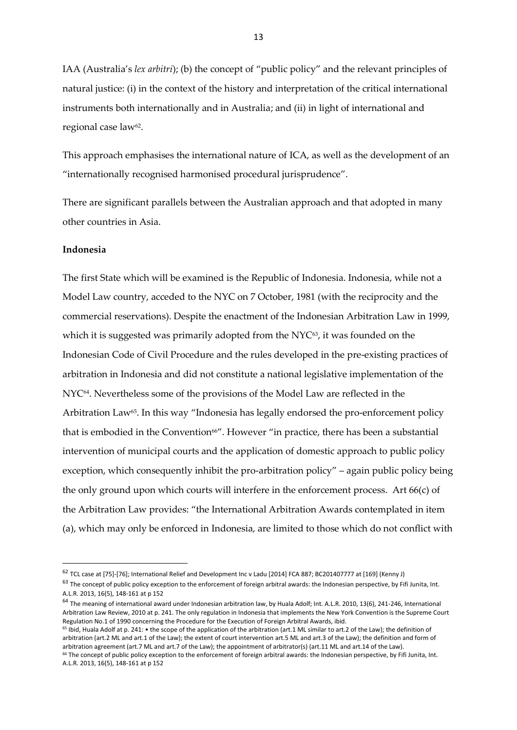IAA (Australia's *lex arbitri*); (b) the concept of "public policy" and the relevant principles of natural justice: (i) in the context of the history and interpretation of the critical international instruments both internationally and in Australia; and (ii) in light of international and regional case law<sup>62</sup>.

This approach emphasises the international nature of ICA, as well as the development of an "internationally recognised harmonised procedural jurisprudence".

There are significant parallels between the Australian approach and that adopted in many other countries in Asia.

#### **Indonesia**

1

The first State which will be examined is the Republic of Indonesia. Indonesia, while not a Model Law country, acceded to the NYC on 7 October, 1981 (with the reciprocity and the commercial reservations). Despite the enactment of the Indonesian Arbitration Law in 1999, which it is suggested was primarily adopted from the  $\rm{NYC^{63}}$ , it was founded on the Indonesian Code of Civil Procedure and the rules developed in the pre-existing practices of arbitration in Indonesia and did not constitute a national legislative implementation of the NYC<sup>64</sup> . Nevertheless some of the provisions of the Model Law are reflected in the Arbitration Law<sup>65</sup>. In this way "Indonesia has legally endorsed the pro-enforcement policy that is embodied in the Convention<sup>66"</sup>. However "in practice, there has been a substantial intervention of municipal courts and the application of domestic approach to public policy exception, which consequently inhibit the pro-arbitration policy" – again public policy being the only ground upon which courts will interfere in the enforcement process. Art 66(c) of the Arbitration Law provides: "the International Arbitration Awards contemplated in item (a), which may only be enforced in Indonesia, are limited to those which do not conflict with

 $65$  Ibid, Huala Adolf at p. 241: • the scope of the application of the arbitration (art.1 ML similar to art.2 of the Law); the definition of arbitration (art.2 ML and art.1 of the Law); the extent of court intervention art.5 ML and art.3 of the Law); the definition and form of arbitration agreement (art.7 ML and art.7 of the Law); the appointment of arbitrator(s) (art.11 ML and art.14 of the Law). <sup>66</sup> The concept of public policy exception to the enforcement of foreign arbitral awards: the Indonesian perspective, by Fifi Junita, Int. A.L.R. 2013, 16(5), 148-161 at p 152

<sup>62</sup> TCL case at [75]-[76]; International Relief and Development Inc v Ladu [2014] FCA 887; BC201407777 at [169] (Kenny J)

<sup>&</sup>lt;sup>63</sup> The concept of public policy exception to the enforcement of foreign arbitral awards: the Indonesian perspective, by Fifi Junita, Int. A.L.R. 2013, 16(5), 148-161 at p 152

<sup>&</sup>lt;sup>64</sup> The meaning of international award under Indonesian arbitration law, by Huala Adolf; Int. A.L.R. 2010, 13(6), 241-246, International Arbitration Law Review, 2010 at p. 241. The only regulation in Indonesia that implements the New York Convention is the Supreme Court Regulation No.1 of 1990 concerning the Procedure for the Execution of Foreign Arbitral Awards, ibid.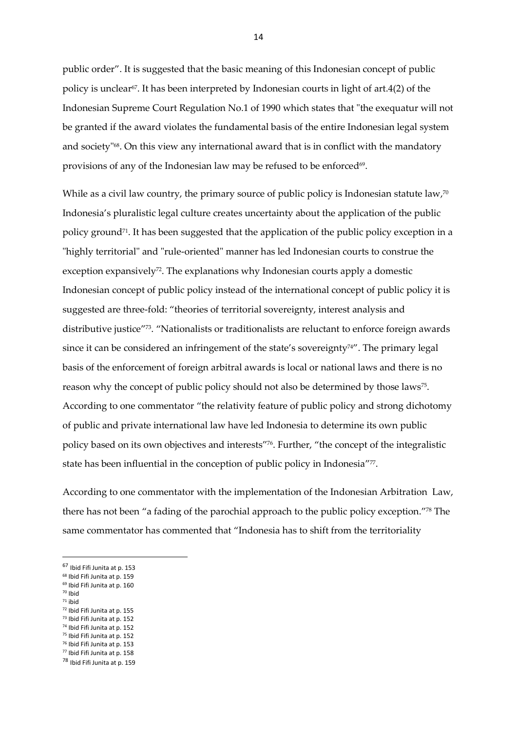public order". It is suggested that the basic meaning of this Indonesian concept of public policy is unclear $\sigma$ . It has been interpreted by Indonesian courts in light of art.4(2) of the Indonesian Supreme Court Regulation No.1 of 1990 which states that "the exequatur will not be granted if the award violates the fundamental basis of the entire Indonesian legal system and society"<sup>68</sup>. On this view any international award that is in conflict with the mandatory provisions of any of the Indonesian law may be refused to be enforced $\rm ^{69}$ .

While as a civil law country, the primary source of public policy is Indonesian statute law,<sup>70</sup> Indonesia's pluralistic legal culture creates uncertainty about the application of the public policy ground<sup>71</sup>. It has been suggested that the application of the public policy exception in a "highly territorial" and "rule-oriented" manner has led Indonesian courts to construe the exception expansively<sup>72</sup>. The explanations why Indonesian courts apply a domestic Indonesian concept of public policy instead of the international concept of public policy it is suggested are three-fold: "theories of territorial sovereignty, interest analysis and distributive justice" <sup>73</sup>. "Nationalists or traditionalists are reluctant to enforce foreign awards since it can be considered an infringement of the state's sovereignty<sup> $74$ "</sup>. The primary legal basis of the enforcement of foreign arbitral awards is local or national laws and there is no reason why the concept of public policy should not also be determined by those laws<sup>75</sup>. According to one commentator "the relativity feature of public policy and strong dichotomy of public and private international law have led Indonesia to determine its own public policy based on its own objectives and interests" 76 . Further, "the concept of the integralistic state has been influential in the conception of public policy in Indonesia" 77 .

According to one commentator with the implementation of the Indonesian Arbitration Law, there has not been "a fading of the parochial approach to the public policy exception." <sup>78</sup> The same commentator has commented that "Indonesia has to shift from the territoriality

<sup>71</sup> ibid

**.** 

- 
- <sup>72</sup> Ibid Fifi Junita at p. 155 <sup>73</sup> Ibid Fifi Junita at p. 152
- <sup>74</sup> Ibid Fifi Junita at p. 152
- <sup>75</sup> Ibid Fifi Junita at p. 152
- <sup>76</sup> Ibid Fifi Junita at p. 153
- <sup>77</sup> Ibid Fifi Junita at p. 158

<sup>67</sup> Ibid Fifi Junita at p. 153

<sup>68</sup> Ibid Fifi Junita at p. 159

<sup>69</sup> Ibid Fifi Junita at p. 160 <sup>70</sup> Ibid

<sup>78</sup> Ibid Fifi Junita at p. 159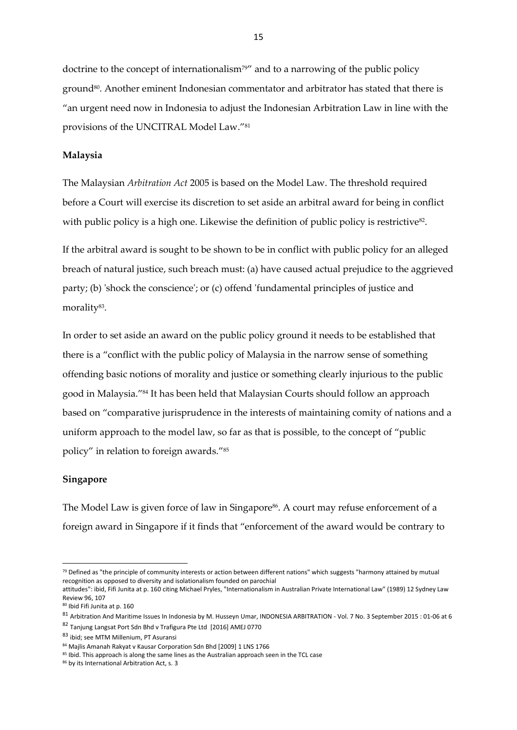doctrine to the concept of internationalism<sup>79"</sup> and to a narrowing of the public policy ground<sup>80</sup>. Another eminent Indonesian commentator and arbitrator has stated that there is "an urgent need now in Indonesia to adjust the Indonesian Arbitration Law in line with the provisions of the UNCITRAL Model Law."<sup>81</sup>

#### **Malaysia**

The Malaysian *Arbitration Act* 2005 is based on the Model Law. The threshold required before a Court will exercise its discretion to set aside an arbitral award for being in conflict with public policy is a high one. Likewise the definition of public policy is restrictive<sup>82</sup>.

If the arbitral award is sought to be shown to be in conflict with public policy for an alleged breach of natural justice, such breach must: (a) have caused actual prejudice to the aggrieved party; (b) 'shock the conscience'; or (c) offend 'fundamental principles of justice and morality<sup>83</sup>.

In order to set aside an award on the public policy ground it needs to be established that there is a "conflict with the public policy of Malaysia in the narrow sense of something offending basic notions of morality and justice or something clearly injurious to the public good in Malaysia."<sup>84</sup> It has been held that Malaysian Courts should follow an approach based on "comparative jurisprudence in the interests of maintaining comity of nations and a uniform approach to the model law, so far as that is possible, to the concept of "public policy" in relation to foreign awards." 85

#### **Singapore**

1

The Model Law is given force of law in Singapore<sup>86</sup>. A court may refuse enforcement of a foreign award in Singapore if it finds that "enforcement of the award would be contrary to

<sup>79</sup> Defined as "the principle of community interests or action between different nations" which suggests "harmony attained by mutual recognition as opposed to diversity and isolationalism founded on parochial

attitudes": ibid, Fifi Junita at p. 160 citing Michael Pryles, "Internationalism in Australian Private International Law" (1989) 12 Sydney Law Review 96, 107

<sup>80</sup> Ibid Fifi Junita at p. 160

<sup>81</sup> Arbitration And Maritime Issues In Indonesia by M. Husseyn Umar, INDONESIA ARBITRATION - Vol. 7 No. 3 September 2015 : 01-06 at 6

<sup>82</sup> Tanjung Langsat Port Sdn Bhd v Trafigura Pte Ltd [2016] AMEJ 0770

<sup>83</sup> ibid; see MTM Millenium, PT Asuransi

<sup>84</sup> Majlis Amanah Rakyat v Kausar Corporation Sdn Bhd [2009] 1 LNS 1766

<sup>&</sup>lt;sup>85</sup> Ibid. This approach is along the same lines as the Australian approach seen in the TCL case

<sup>86</sup> by its International Arbitration Act, s. 3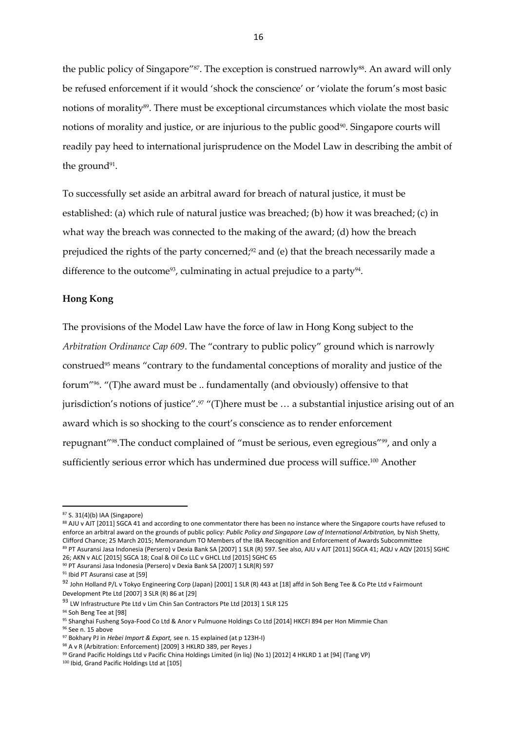the public policy of Singapore"<sup>87</sup>. The exception is construed narrowly<sup>88</sup>. An award will only be refused enforcement if it would 'shock the conscience' or 'violate the forum's most basic notions of morality<sup>89</sup>. There must be exceptional circumstances which violate the most basic notions of morality and justice, or are injurious to the public good<sup>90</sup>. Singapore courts will readily pay heed to international jurisprudence on the Model Law in describing the ambit of the ground<sup>91</sup>.

To successfully set aside an arbitral award for breach of natural justice, it must be established: (a) which rule of natural justice was breached; (b) how it was breached; (c) in what way the breach was connected to the making of the award; (d) how the breach prejudiced the rights of the party concerned;<sup>92</sup> and (e) that the breach necessarily made a difference to the outcome<sup>93</sup>, culminating in actual prejudice to a party<sup>94</sup>.

#### **Hong Kong**

The provisions of the Model Law have the force of law in Hong Kong subject to the *Arbitration Ordinance Cap 609*. The "contrary to public policy" ground which is narrowly construed<sup>95</sup> means "contrary to the fundamental conceptions of morality and justice of the forum"96. "(T)he award must be .. fundamentally (and obviously) offensive to that jurisdiction's notions of justice".<sup>97</sup> "(T)here must be ... a substantial injustice arising out of an award which is so shocking to the court's conscience as to render enforcement repugnant"<sup>98</sup> .The conduct complained of "must be serious, even egregious"99, and only a sufficiently serious error which has undermined due process will suffice. <sup>100</sup> Another

1

88 AJU v AJT [2011] SGCA 41 and according to one commentator there has been no instance where the Singapore courts have refused to enforce an arbitral award on the grounds of public policy: *Public Policy and Singapore Law of International Arbitration,* by Nish Shetty, Clifford Chance; 25 March 2015; Memorandum TO Members of the IBA Recognition and Enforcement of Awards Subcommittee <sup>89</sup> PT Asuransi Jasa Indonesia (Persero) v Dexia Bank SA [2007] 1 SLR (R) 597. See also, AJU v AJT [2011] SGCA 41; AQU v AQV [2015] SGHC 26; AKN v ALC [2015] SGCA 18; Coal & Oil Co LLC v GHCL Ltd [2015] SGHC 65

<sup>87</sup> S. 31(4)(b) IAA (Singapore)

<sup>90</sup> PT Asuransi Jasa Indonesia (Persero) v Dexia Bank SA [2007] 1 SLR(R) 597

<sup>91</sup> Ibid PT Asuransi case at [59]

<sup>92</sup> John Holland P/L v Tokyo Engineering Corp (Japan) [2001] 1 SLR (R) 443 at [18] affd in Soh Beng Tee & Co Pte Ltd v Fairmount Development Pte Ltd [2007] 3 SLR (R) 86 at [29]

<sup>93</sup> LW Infrastructure Pte Ltd v Lim Chin San Contractors Pte Ltd [2013] 1 SLR 125

<sup>94</sup> Soh Beng Tee at [98]

<sup>95</sup> Shanghai Fusheng Soya-Food Co Ltd & Anor v Pulmuone Holdings Co Ltd [2014] HKCFI 894 per Hon Mimmie Chan

<sup>96</sup> See n. 15 above

<sup>97</sup> Bokhary PJ in *Hebei Import & Export,* see n. 15 explained (at p 123H-I)

<sup>98</sup> A v R (Arbitration: Enforcement) [2009] 3 HKLRD 389, per Reyes J

<sup>99</sup> Grand Pacific Holdings Ltd v Pacific China Holdings Limited (in liq) (No 1) [2012] 4 HKLRD 1 at [94] (Tang VP)

<sup>100</sup> Ibid, Grand Pacific Holdings Ltd at [105]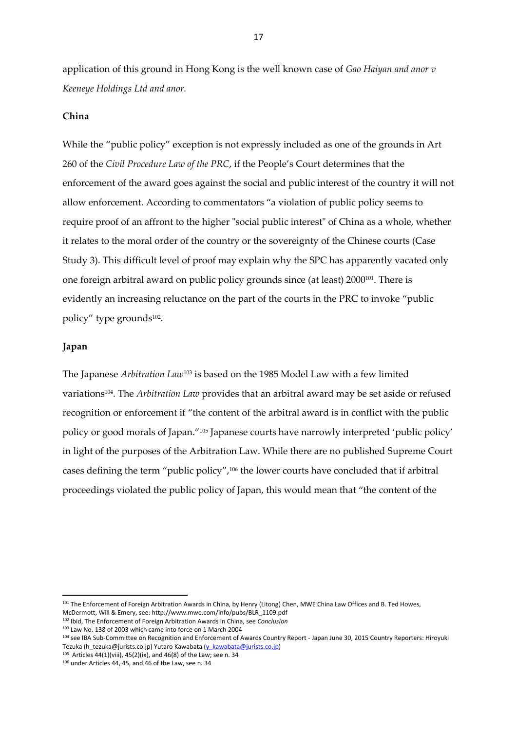application of this ground in Hong Kong is the well known case of *Gao Haiyan and anor v Keeneye Holdings Ltd and anor.*

#### **China**

While the "public policy" exception is not expressly included as one of the grounds in Art 260 of the *Civil Procedure Law of the PRC*, if the People's Court determines that the enforcement of the award goes against the social and public interest of the country it will not allow enforcement. According to commentators "a violation of public policy seems to require proof of an affront to the higher "social public interest" of China as a whole, whether it relates to the moral order of the country or the sovereignty of the Chinese courts (Case Study 3). This difficult level of proof may explain why the SPC has apparently vacated only one foreign arbitral award on public policy grounds since (at least) 2000101. There is evidently an increasing reluctance on the part of the courts in the PRC to invoke "public policy" type grounds<sup>102</sup> .

#### **Japan**

**.** 

The Japanese *Arbitration Law*<sup>103</sup> is based on the 1985 Model Law with a few limited variations104. The *Arbitration Law* provides that an arbitral award may be set aside or refused recognition or enforcement if "the content of the arbitral award is in conflict with the public policy or good morals of Japan."<sup>105</sup> Japanese courts have narrowly interpreted 'public policy' in light of the purposes of the Arbitration Law. While there are no published Supreme Court cases defining the term "public policy",<sup>106</sup> the lower courts have concluded that if arbitral proceedings violated the public policy of Japan, this would mean that "the content of the

<sup>&</sup>lt;sup>101</sup> The Enforcement of Foreign Arbitration Awards in China, by Henry (Litong) Chen, MWE China Law Offices and B. Ted Howes,

McDermott, Will & Emery, see: http://www.mwe.com/info/pubs/BLR\_1109.pdf <sup>102</sup> Ibid, The Enforcement of Foreign Arbitration Awards in China, see *Conclusion*

<sup>103</sup> Law No. 138 of 2003 which came into force on 1 March 2004

<sup>104</sup> see IBA Sub-Committee on Recognition and Enforcement of Awards Country Report - Japan June 30, 2015 Country Reporters: Hiroyuki Tezuka (h\_tezuka@jurists.co.jp) Yutaro Kawabata [\(y\\_kawabata@jurists.co.jp\)](mailto:y_kawabata@jurists.co.jp)

 $105$  Articles 44(1)(viii), 45(2)(ix), and 46(8) of the Law; see n. 34

<sup>106</sup> under Articles 44, 45, and 46 of the Law, see n. 34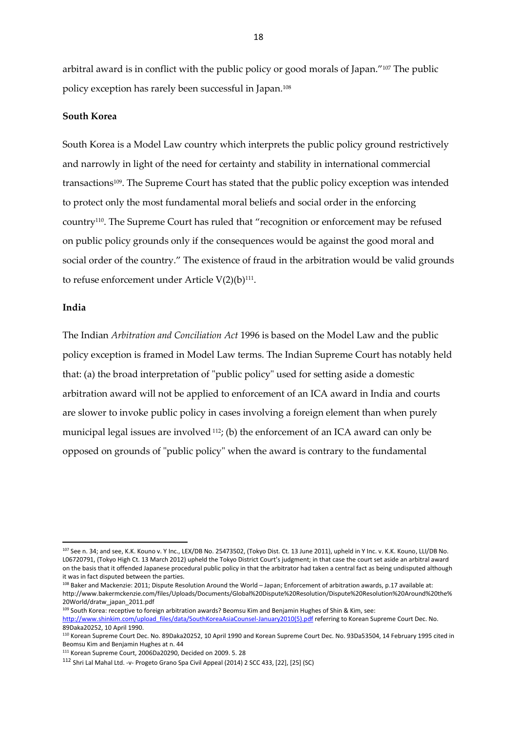arbitral award is in conflict with the public policy or good morals of Japan."<sup>107</sup> The public policy exception has rarely been successful in Japan.<sup>108</sup>

#### **South Korea**

South Korea is a Model Law country which interprets the public policy ground restrictively and narrowly in light of the need for certainty and stability in international commercial transactions<sup>109</sup>. The Supreme Court has stated that the public policy exception was intended to protect only the most fundamental moral beliefs and social order in the enforcing country110. The Supreme Court has ruled that "recognition or enforcement may be refused on public policy grounds only if the consequences would be against the good moral and social order of the country." The existence of fraud in the arbitration would be valid grounds to refuse enforcement under Article  $V(2)(b)^{111}$ .

#### **India**

**.** 

The Indian *Arbitration and Conciliation Act* 1996 is based on the Model Law and the public policy exception is framed in Model Law terms. The Indian Supreme Court has notably held that: (a) the broad interpretation of "public policy" used for setting aside a domestic arbitration award will not be applied to enforcement of an ICA award in India and courts are slower to invoke public policy in cases involving a foreign element than when purely municipal legal issues are involved  $112$ ; (b) the enforcement of an ICA award can only be opposed on grounds of "public policy" when the award is contrary to the fundamental

<sup>109</sup> South Korea: receptive to foreign arbitration awards? Beomsu Kim and Benjamin Hughes of Shin & Kim, see:

<sup>107</sup> See n. 34; and see, K.K. Kouno v. Y Inc., LEX/DB No. 25473502, (Tokyo Dist. Ct. 13 June 2011), upheld in Y Inc. v. K.K. Kouno, LLI/DB No. L06720791, (Tokyo High Ct. 13 March 2012) upheld the Tokyo District Court's judgment; in that case the court set aside an arbitral award on the basis that it offended Japanese procedural public policy in that the arbitrator had taken a central fact as being undisputed although it was in fact disputed between the parties.

<sup>108</sup> Baker and Mackenzie: 2011; Dispute Resolution Around the World – Japan; Enforcement of arbitration awards, p.17 available at: http://www.bakermckenzie.com/files/Uploads/Documents/Global%20Dispute%20Resolution/Dispute%20Resolution%20Around%20the% 20World/dratw\_japan\_2011.pdf

[http://www.shinkim.com/upload\\_files/data/SouthKoreaAsiaCounsel-January2010\(5\).pdf](http://www.shinkim.com/upload_files/data/SouthKoreaAsiaCounsel-January2010(5).pdf) referring to Korean Supreme Court Dec. No. 89Daka20252, 10 April 1990.

<sup>110</sup> Korean Supreme Court Dec. No. 89Daka20252, 10 April 1990 and Korean Supreme Court Dec. No. 93Da53504, 14 February 1995 cited in Beomsu Kim and Benjamin Hughes at n. 44

<sup>111</sup> Korean Supreme Court, 2006Da20290, Decided on 2009. 5. 28

<sup>112</sup> Shri Lal Mahal Ltd. -v- Progeto Grano Spa Civil Appeal (2014) 2 SCC 433, [22], [25] (SC)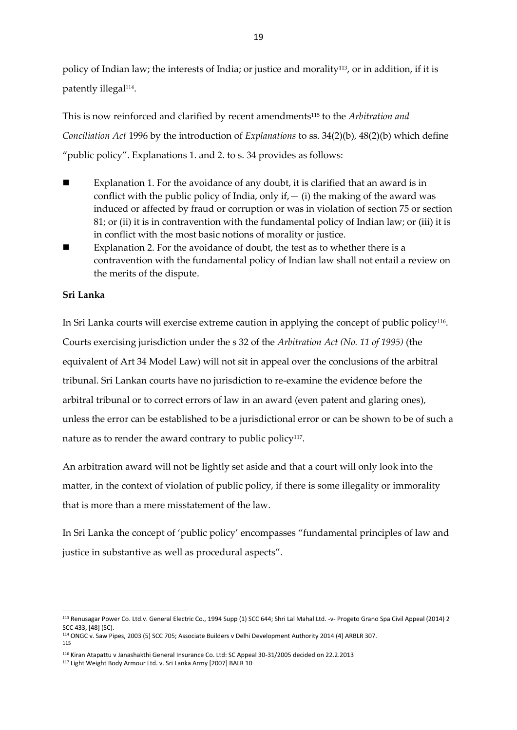policy of Indian law; the interests of India; or justice and morality<sup>113</sup>, or in addition, if it is patently illegal<sup>114</sup> .

This is now reinforced and clarified by recent amendments<sup>115</sup> to the *Arbitration and Conciliation Act* 1996 by the introduction of *Explanations* to ss. 34(2)(b), 48(2)(b) which define "public policy". Explanations 1. and 2. to s. 34 provides as follows:

- Explanation 1. For the avoidance of any doubt, it is clarified that an award is in conflict with the public policy of India, only if  $-$  (i) the making of the award was induced or affected by fraud or corruption or was in violation of section 75 or section 81; or (ii) it is in contravention with the fundamental policy of Indian law; or (iii) it is in conflict with the most basic notions of morality or justice.
- Explanation 2. For the avoidance of doubt, the test as to whether there is a contravention with the fundamental policy of Indian law shall not entail a review on the merits of the dispute.

#### **Sri Lanka**

 $\overline{a}$ 

In Sri Lanka courts will exercise extreme caution in applying the concept of public policy<sup>116</sup>. Courts exercising jurisdiction under the s 32 of the *Arbitration Act (No. 11 of 1995)* (the equivalent of Art 34 Model Law) will not sit in appeal over the conclusions of the arbitral tribunal. Sri Lankan courts have no jurisdiction to re-examine the evidence before the arbitral tribunal or to correct errors of law in an award (even patent and glaring ones), unless the error can be established to be a jurisdictional error or can be shown to be of such a nature as to render the award contrary to public policy $^{\scriptscriptstyle 117}.$ 

An arbitration award will not be lightly set aside and that a court will only look into the matter, in the context of violation of public policy, if there is some illegality or immorality that is more than a mere misstatement of the law.

In Sri Lanka the concept of 'public policy' encompasses "fundamental principles of law and justice in substantive as well as procedural aspects".

<sup>113</sup> Renusagar Power Co. Ltd.v. General Electric Co., 1994 Supp (1) SCC 644; Shri Lal Mahal Ltd. -v- Progeto Grano Spa Civil Appeal (2014) 2 SCC 433, [48] (SC).

<sup>114</sup> ONGC v. Saw Pipes, 2003 (5) SCC 705; Associate Builders v Delhi Development Authority 2014 (4) ARBLR 307. 115

<sup>116</sup> Kiran Atapattu v Janashakthi General Insurance Co. Ltd: SC Appeal 30-31/2005 decided on 22.2.2013

<sup>117</sup> Light Weight Body Armour Ltd. v. Sri Lanka Army [2007] BALR 10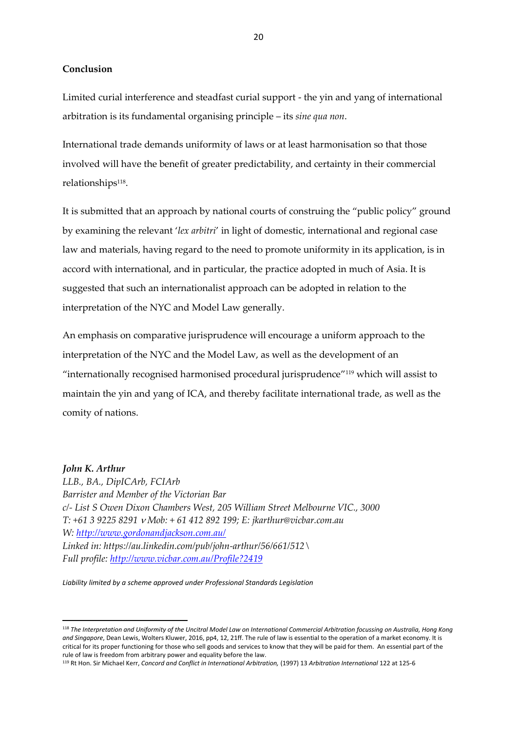**Conclusion**

Limited curial interference and steadfast curial support - the yin and yang of international arbitration is its fundamental organising principle – its *sine qua non*.

International trade demands uniformity of laws or at least harmonisation so that those involved will have the benefit of greater predictability, and certainty in their commercial relationships<sup>118</sup>.

It is submitted that an approach by national courts of construing the "public policy" ground by examining the relevant '*lex arbitri*' in light of domestic, international and regional case law and materials, having regard to the need to promote uniformity in its application, is in accord with international, and in particular, the practice adopted in much of Asia. It is suggested that such an internationalist approach can be adopted in relation to the interpretation of the NYC and Model Law generally.

An emphasis on comparative jurisprudence will encourage a uniform approach to the interpretation of the NYC and the Model Law, as well as the development of an "internationally recognised harmonised procedural jurisprudence"<sup>119</sup> which will assist to maintain the yin and yang of ICA, and thereby facilitate international trade, as well as the comity of nations.

#### *John K. Arthur*

**.** 

*LLB., BA., DipICArb, FCIArb Barrister and Member of the Victorian Bar c/- List S Owen Dixon Chambers West, 205 William Street Melbourne VIC., 3000 T: +61 3 9225 8291 Mob: + 61 412 892 199; E: jkarthur@vicbar.com.au W:<http://www.gordonandjackson.com.au/> Linked in: https://au.linkedin.com/pub/john-arthur/56/661/512\ Full profile[: http://www.vicbar.com.au/Profile?2419](http://www.vicbar.com.au/Profile?2419)*

*Liability limited by a scheme approved under Professional Standards Legislation*

<sup>118</sup> *The Interpretation and Uniformity of the Uncitral Model Law on International Commercial Arbitration focussing on Australia, Hong Kong and Singapore*, Dean Lewis, Wolters Kluwer, 2016, pp4, 12, 21ff. The rule of law is essential to the operation of a market economy. It is critical for its proper functioning for those who sell goods and services to know that they will be paid for them. An essential part of the rule of law is freedom from arbitrary power and equality before the law.

<sup>119</sup> Rt Hon. Sir Michael Kerr, *Concord and Conflict in International Arbitration,* (1997) 13 *Arbitration International* 122 at 125-6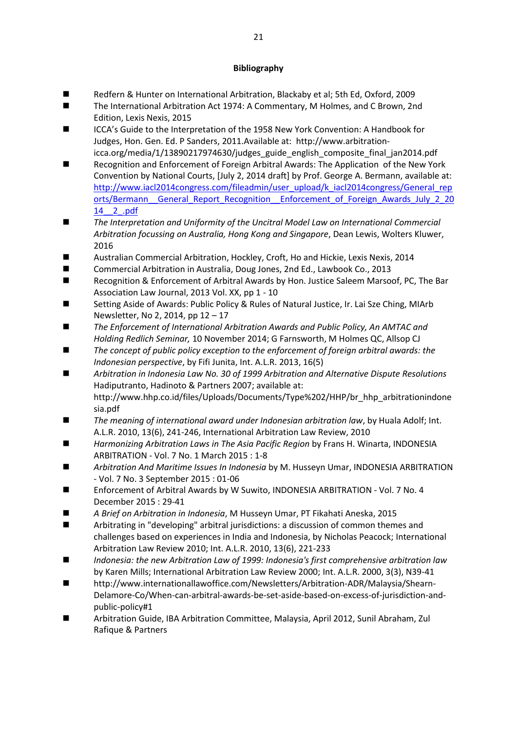#### **Bibliography**

- Redfern & Hunter on International Arbitration, Blackaby et al; 5th Ed, Oxford, 2009
- The International Arbitration Act 1974: A Commentary, M Holmes, and C Brown, 2nd Edition, Lexis Nexis, 2015
- ICCA's Guide to the Interpretation of the 1958 New York Convention: A Handbook for Judges, Hon. Gen. Ed. P Sanders, 2011.Available at: http://www.arbitrationicca.org/media/1/13890217974630/judges\_guide\_english\_composite\_final\_jan2014.pdf
- Recognition and Enforcement of Foreign Arbitral Awards: The Application of the New York Convention by National Courts, [July 2, 2014 draft] by Prof. George A. Bermann, available at: [http://www.iacl2014congress.com/fileadmin/user\\_upload/k\\_iacl2014congress/General\\_rep](http://www.iacl2014congress.com/fileadmin/user_upload/k_iacl2014congress/General_reports/Bermann__General_Report_Recognition__Enforcement_of_Foreign_Awards_July_2_2014__2_.pdf) [orts/Bermann\\_\\_General\\_Report\\_Recognition\\_\\_Enforcement\\_of\\_Foreign\\_Awards\\_July\\_2\\_20](http://www.iacl2014congress.com/fileadmin/user_upload/k_iacl2014congress/General_reports/Bermann__General_Report_Recognition__Enforcement_of_Foreign_Awards_July_2_2014__2_.pdf) [14\\_\\_2\\_.pdf](http://www.iacl2014congress.com/fileadmin/user_upload/k_iacl2014congress/General_reports/Bermann__General_Report_Recognition__Enforcement_of_Foreign_Awards_July_2_2014__2_.pdf)
- The Interpretation and Uniformity of the Uncitral Model Law on International Commercial *Arbitration focussing on Australia, Hong Kong and Singapore*, Dean Lewis, Wolters Kluwer, 2016
- Australian Commercial Arbitration, Hockley, Croft, Ho and Hickie, Lexis Nexis, 2014
- Commercial Arbitration in Australia, Doug Jones, 2nd Ed., Lawbook Co., 2013
- Recognition & Enforcement of Arbitral Awards by Hon. Justice Saleem Marsoof, PC, The Bar Association Law Journal, 2013 Vol. XX, pp 1 - 10
- Setting Aside of Awards: Public Policy & Rules of Natural Justice, Ir. Lai Sze Ching, MIArb Newsletter, No 2, 2014, pp 12 – 17
- The Enforcement of International Arbitration Awards and Public Policy, An AMTAC and *Holding Redlich Seminar,* 10 November 2014; G Farnsworth, M Holmes QC, Allsop CJ
- *The concept of public policy exception to the enforcement of foreign arbitral awards: the Indonesian perspective*, by Fifi Junita, Int. A.L.R. 2013, 16(5)
- *Arbitration in Indonesia Law No. 30 of 1999 Arbitration and Alternative Dispute Resolutions* Hadiputranto, Hadinoto & Partners 2007; available at: http://www.hhp.co.id/files/Uploads/Documents/Type%202/HHP/br\_hhp\_arbitrationindone sia.pdf
- *The meaning of international award under Indonesian arbitration law*, by Huala Adolf; Int. A.L.R. 2010, 13(6), 241-246, International Arbitration Law Review, 2010
- *Harmonizing Arbitration Laws in The Asia Pacific Region* by Frans H. Winarta, INDONESIA ARBITRATION - Vol. 7 No. 1 March 2015 : 1-8
- *Arbitration And Maritime Issues In Indonesia* by M. Husseyn Umar, INDONESIA ARBITRATION - Vol. 7 No. 3 September 2015 : 01-06
- Enforcement of Arbitral Awards by W Suwito, INDONESIA ARBITRATION Vol. 7 No. 4 December 2015 : 29‐41
- *A Brief on Arbitration in Indonesia*, M Husseyn Umar, PT Fikahati Aneska, 2015
- Arbitrating in "developing" arbitral jurisdictions: a discussion of common themes and challenges based on experiences in India and Indonesia, by Nicholas Peacock; International Arbitration Law Review 2010; Int. A.L.R. 2010, 13(6), 221-233
- *Indonesia: the new Arbitration Law of 1999: Indonesia's first comprehensive arbitration law* by Karen Mills; International Arbitration Law Review 2000; Int. A.L.R. 2000, 3(3), N39-41
- http://www.internationallawoffice.com/Newsletters/Arbitration-ADR/Malaysia/Shearn-Delamore-Co/When-can-arbitral-awards-be-set-aside-based-on-excess-of-jurisdiction-andpublic-policy#1
- Arbitration Guide, IBA Arbitration Committee, Malaysia, April 2012, Sunil Abraham, Zul Rafique & Partners